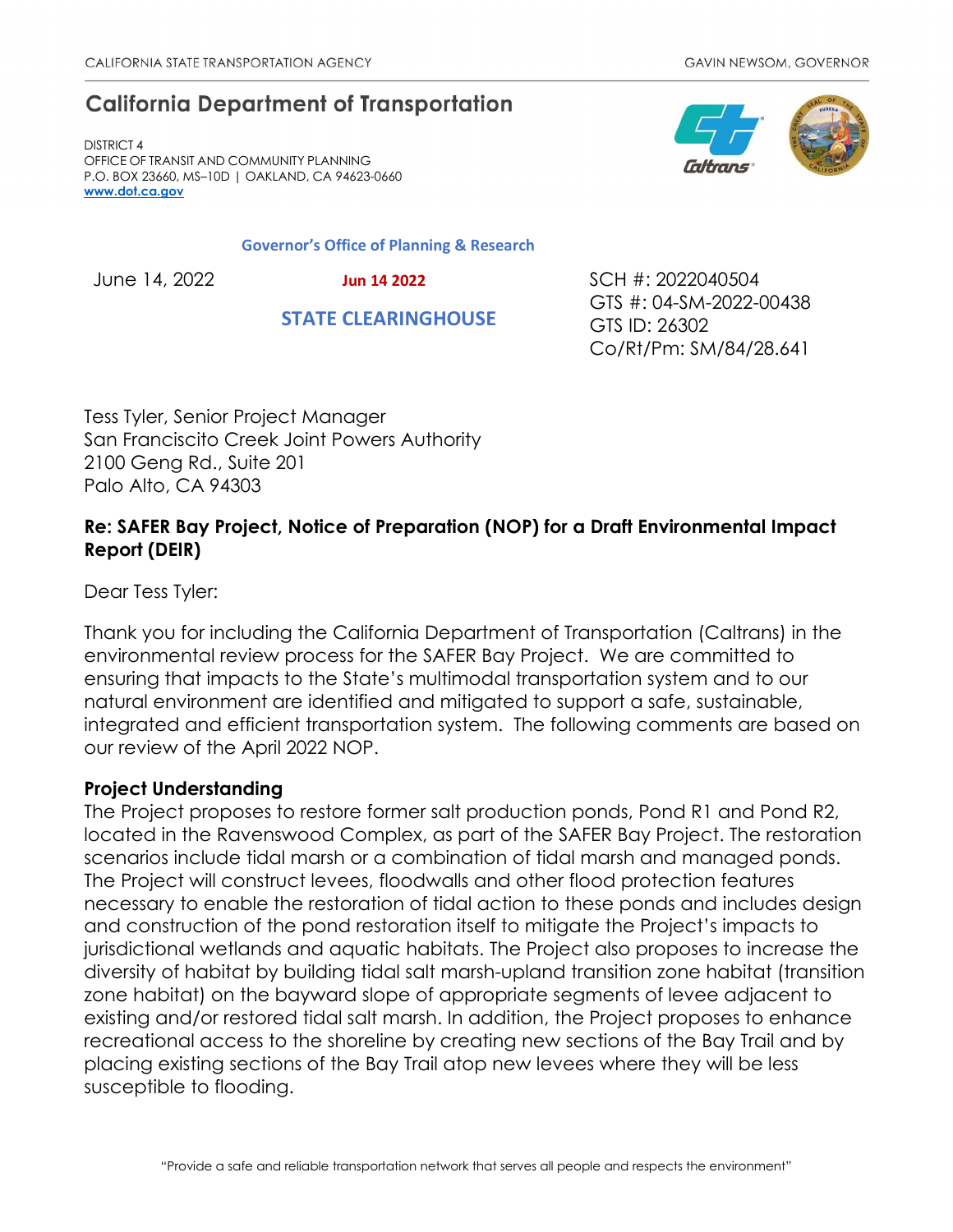# **California Department of Transportation**

DISTRICT 4 OFFICE OF TRANSIT AND COMMUNITY PLANNING P.O. BOX 23660, MS–10D | OAKLAND, CA 94623-0660 **[www.dot.ca.gov](http://www.dot.ca.gov/)**

#### **Governor's Office of Planning & Research**

 **Jun 14 2022**

 **STATE CLEARINGHOUSE**

June 14, 2022 SCH #: 2022040504 GTS #: 04-SM-2022-00438 GTS ID: 26302 Co/Rt/Pm: SM/84/28.641

Tess Tyler, Senior Project Manager San Franciscito Creek Joint Powers Authority 2100 Geng Rd., Suite 201 Palo Alto, CA 94303

## **Re: SAFER Bay Project, Notice of Preparation (NOP) for a Draft Environmental Impact Report (DEIR)**

Dear Tess Tyler:

Thank you for including the California Department of Transportation (Caltrans) in the environmental review process for the SAFER Bay Project. We are committed to ensuring that impacts to the State's multimodal transportation system and to our natural environment are identified and mitigated to support a safe, sustainable, integrated and efficient transportation system. The following comments are based on our review of the April 2022 NOP.

### **Project Understanding**

The Project proposes to restore former salt production ponds, Pond R1 and Pond R2, located in the Ravenswood Complex, as part of the SAFER Bay Project. The restoration scenarios include tidal marsh or a combination of tidal marsh and managed ponds. The Project will construct levees, floodwalls and other flood protection features necessary to enable the restoration of tidal action to these ponds and includes design and construction of the pond restoration itself to mitigate the Project's impacts to jurisdictional wetlands and aquatic habitats. The Project also proposes to increase the diversity of habitat by building tidal salt marsh-upland transition zone habitat (transition zone habitat) on the bayward slope of appropriate segments of levee adjacent to existing and/or restored tidal salt marsh. In addition, the Project proposes to enhance recreational access to the shoreline by creating new sections of the Bay Trail and by placing existing sections of the Bay Trail atop new levees where they will be less susceptible to flooding.

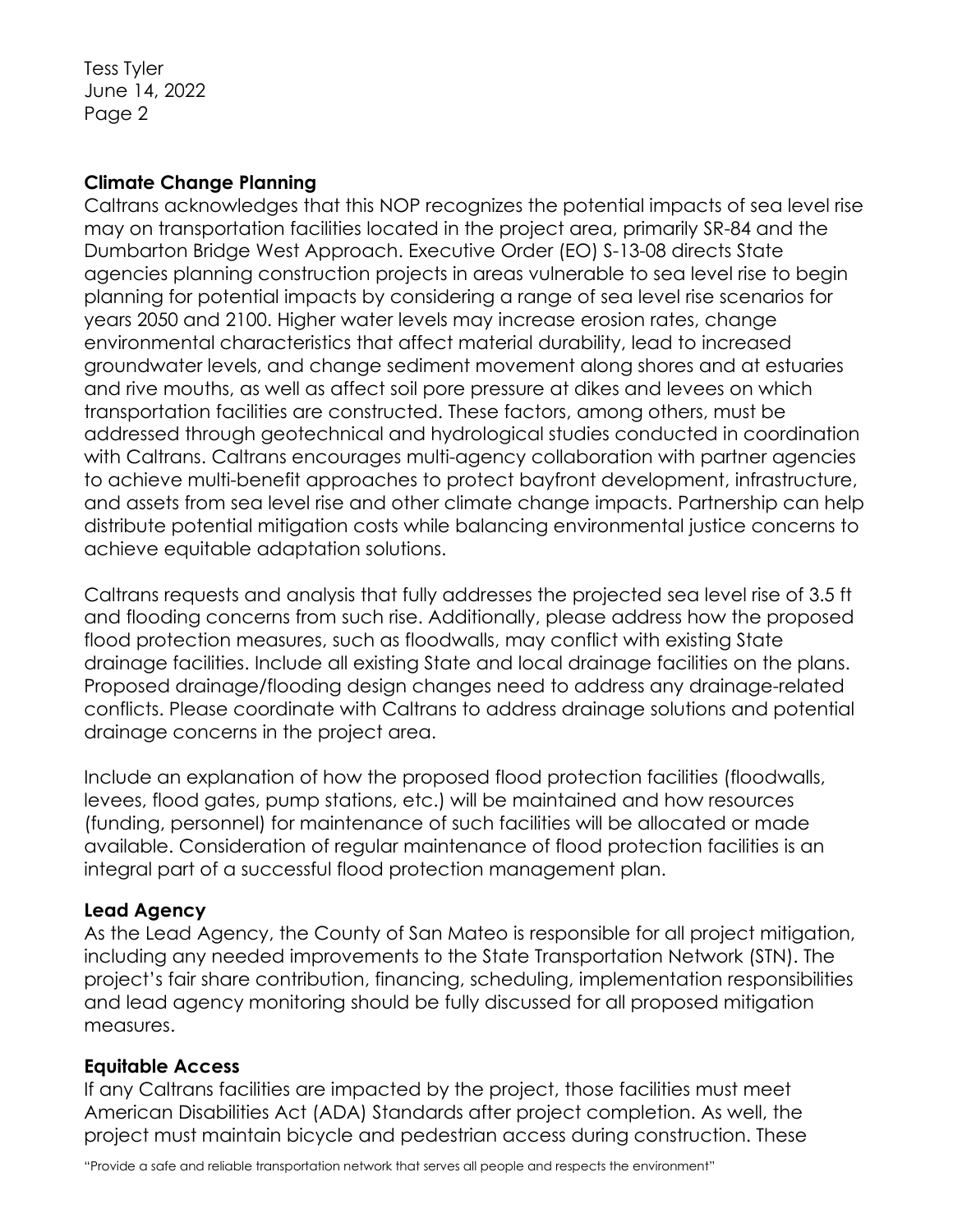Tess Tyler June 14, 2022 Page 2

#### **Climate Change Planning**

Caltrans acknowledges that this NOP recognizes the potential impacts of sea level rise may on transportation facilities located in the project area, primarily SR-84 and the Dumbarton Bridge West Approach. Executive Order (EO) S-13-08 directs State agencies planning construction projects in areas vulnerable to sea level rise to begin planning for potential impacts by considering a range of sea level rise scenarios for years 2050 and 2100. Higher water levels may increase erosion rates, change environmental characteristics that affect material durability, lead to increased groundwater levels, and change sediment movement along shores and at estuaries and rive mouths, as well as affect soil pore pressure at dikes and levees on which transportation facilities are constructed. These factors, among others, must be addressed through geotechnical and hydrological studies conducted in coordination with Caltrans. Caltrans encourages multi-agency collaboration with partner agencies to achieve multi-benefit approaches to protect bayfront development, infrastructure, and assets from sea level rise and other climate change impacts. Partnership can help distribute potential mitigation costs while balancing environmental justice concerns to achieve equitable adaptation solutions.

Caltrans requests and analysis that fully addresses the projected sea level rise of 3.5 ft and flooding concerns from such rise. Additionally, please address how the proposed flood protection measures, such as floodwalls, may conflict with existing State drainage facilities. Include all existing State and local drainage facilities on the plans. Proposed drainage/flooding design changes need to address any drainage-related conflicts. Please coordinate with Caltrans to address drainage solutions and potential drainage concerns in the project area.

Include an explanation of how the proposed flood protection facilities (floodwalls, levees, flood gates, pump stations, etc.) will be maintained and how resources (funding, personnel) for maintenance of such facilities will be allocated or made available. Consideration of regular maintenance of flood protection facilities is an integral part of a successful flood protection management plan.

### **Lead Agency**

As the Lead Agency, the County of San Mateo is responsible for all project mitigation, including any needed improvements to the State Transportation Network (STN). The project's fair share contribution, financing, scheduling, implementation responsibilities and lead agency monitoring should be fully discussed for all proposed mitigation measures.

### **Equitable Access**

If any Caltrans facilities are impacted by the project, those facilities must meet American Disabilities Act (ADA) Standards after project completion. As well, the project must maintain bicycle and pedestrian access during construction. These